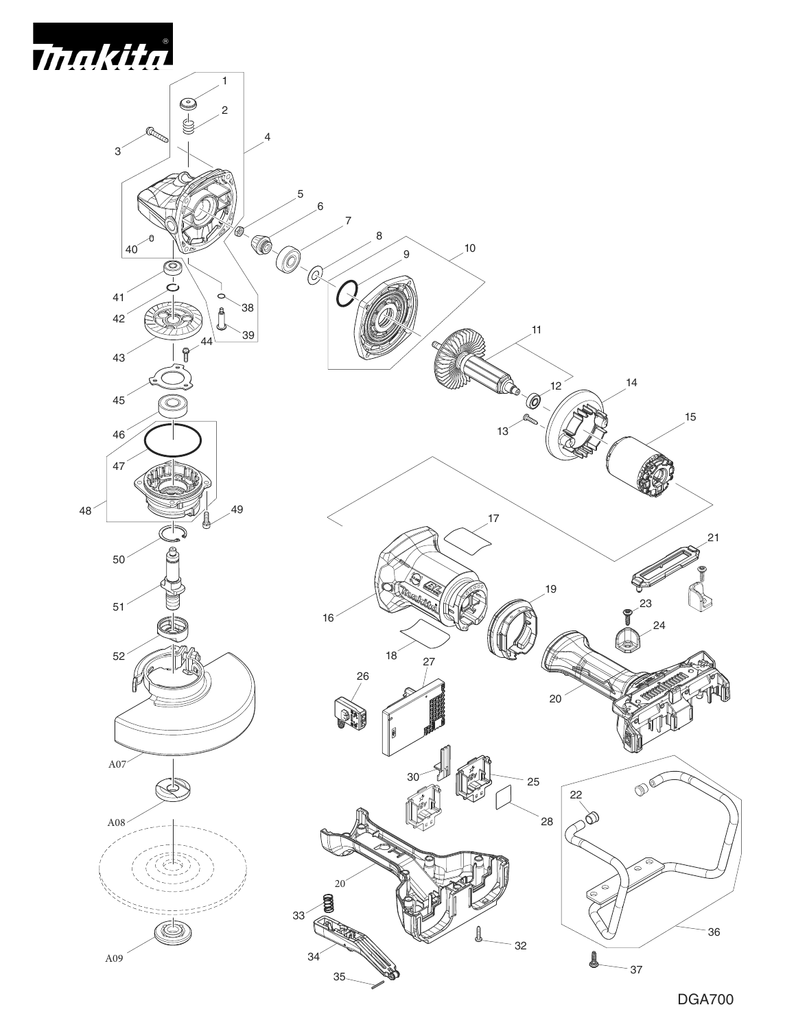

DGA700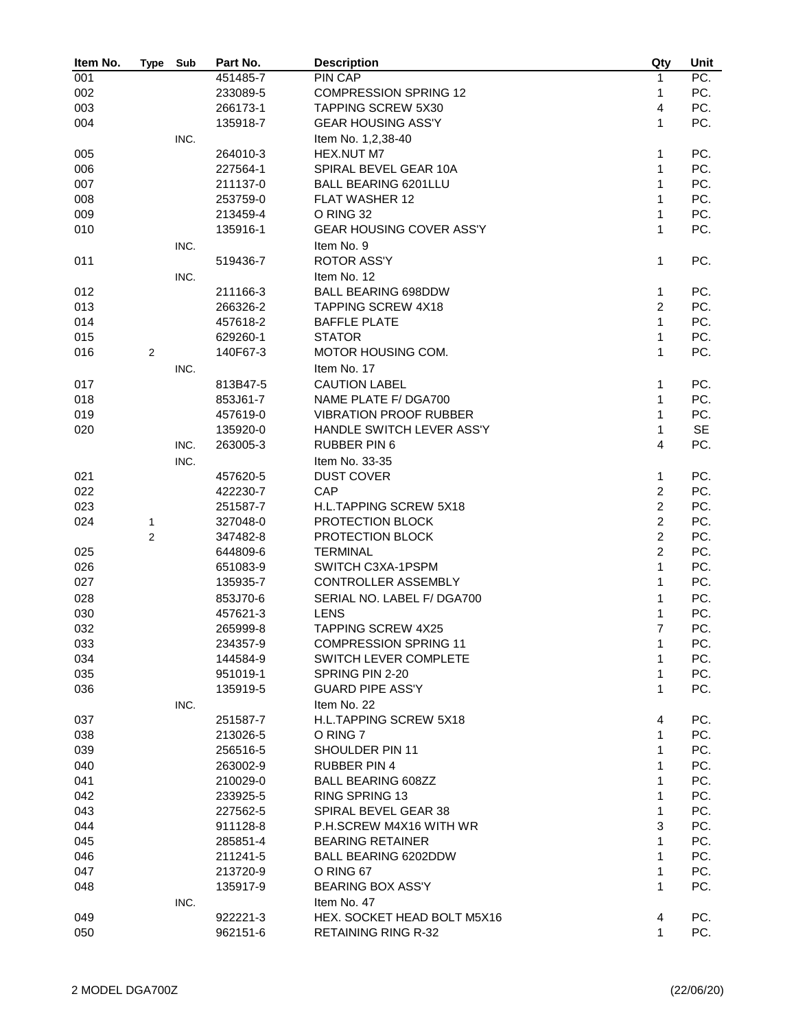| Item No. | <b>Type</b>    | Sub  | Part No. | <b>Description</b>              | Qty                 | Unit              |
|----------|----------------|------|----------|---------------------------------|---------------------|-------------------|
| 001      |                |      | 451485-7 | PIN CAP                         | 1                   | $\overline{PC}$ . |
| 002      |                |      | 233089-5 | <b>COMPRESSION SPRING 12</b>    | 1                   | PC.               |
| 003      |                |      | 266173-1 | <b>TAPPING SCREW 5X30</b>       | 4                   | PC.               |
| 004      |                |      | 135918-7 | <b>GEAR HOUSING ASS'Y</b>       | 1                   | PC.               |
|          |                | INC. |          | Item No. 1,2,38-40              |                     |                   |
| 005      |                |      | 264010-3 | HEX.NUT M7                      | 1                   | PC.               |
| 006      |                |      | 227564-1 | SPIRAL BEVEL GEAR 10A           | 1                   | PC.               |
| 007      |                |      | 211137-0 | <b>BALL BEARING 6201LLU</b>     | 1                   | PC.               |
| 008      |                |      | 253759-0 | FLAT WASHER 12                  | 1                   | PC.               |
| 009      |                |      | 213459-4 | O RING 32                       | 1                   | PC.               |
| 010      |                |      | 135916-1 | <b>GEAR HOUSING COVER ASS'Y</b> | 1                   | PC.               |
|          |                | INC. |          | Item No. 9                      |                     |                   |
| 011      |                |      | 519436-7 | <b>ROTOR ASS'Y</b>              | 1                   | PC.               |
|          |                | INC. |          | Item No. 12                     |                     |                   |
|          |                |      |          | <b>BALL BEARING 698DDW</b>      |                     |                   |
| 012      |                |      | 211166-3 |                                 | 1<br>$\overline{2}$ | PC.               |
| 013      |                |      | 266326-2 | <b>TAPPING SCREW 4X18</b>       |                     | PC.               |
| 014      |                |      | 457618-2 | <b>BAFFLE PLATE</b>             | 1                   | PC.               |
| 015      |                |      | 629260-1 | <b>STATOR</b>                   | 1                   | PC.               |
| 016      | $\overline{2}$ |      | 140F67-3 | MOTOR HOUSING COM.              | 1                   | PC.               |
|          |                | INC. |          | Item No. 17                     |                     |                   |
| 017      |                |      | 813B47-5 | <b>CAUTION LABEL</b>            | 1                   | PC.               |
| 018      |                |      | 853J61-7 | NAME PLATE F/ DGA700            | 1                   | PC.               |
| 019      |                |      | 457619-0 | <b>VIBRATION PROOF RUBBER</b>   | 1                   | PC.               |
| 020      |                |      | 135920-0 | HANDLE SWITCH LEVER ASS'Y       | 1                   | <b>SE</b>         |
|          |                | INC. | 263005-3 | <b>RUBBER PIN 6</b>             | $\overline{4}$      | PC.               |
|          |                | INC. |          | Item No. 33-35                  |                     |                   |
| 021      |                |      | 457620-5 | <b>DUST COVER</b>               | 1                   | PC.               |
| 022      |                |      | 422230-7 | CAP                             | $\overline{c}$      | PC.               |
| 023      |                |      | 251587-7 | H.L.TAPPING SCREW 5X18          | $\overline{c}$      | PC.               |
| 024      | 1              |      | 327048-0 | PROTECTION BLOCK                | $\overline{2}$      | PC.               |
|          | $\overline{2}$ |      | 347482-8 | PROTECTION BLOCK                | $\overline{2}$      | PC.               |
| 025      |                |      | 644809-6 | <b>TERMINAL</b>                 | $\overline{2}$      | PC.               |
| 026      |                |      | 651083-9 | SWITCH C3XA-1PSPM               | 1                   | PC.               |
| 027      |                |      | 135935-7 | CONTROLLER ASSEMBLY             | $\mathbf{1}$        | PC.               |
| 028      |                |      | 853J70-6 | SERIAL NO. LABEL F/ DGA700      | 1                   | PC.               |
| 030      |                |      | 457621-3 | <b>LENS</b>                     | 1                   | PC.               |
| 032      |                |      | 265999-8 | <b>TAPPING SCREW 4X25</b>       | $\overline{7}$      | PC.               |
| 033      |                |      | 234357-9 | <b>COMPRESSION SPRING 11</b>    | 1                   | PC.               |
| 034      |                |      | 144584-9 | SWITCH LEVER COMPLETE           | 1                   | PC.               |
| 035      |                |      | 951019-1 | SPRING PIN 2-20                 | 1                   | PC.               |
| 036      |                |      | 135919-5 | <b>GUARD PIPE ASS'Y</b>         | 1                   | PC.               |
|          |                | INC. |          | Item No. 22                     |                     |                   |
| 037      |                |      | 251587-7 | <b>H.L.TAPPING SCREW 5X18</b>   | 4                   | PC.               |
| 038      |                |      |          | O RING 7                        | 1                   | PC.               |
|          |                |      | 213026-5 |                                 |                     |                   |
| 039      |                |      | 256516-5 | SHOULDER PIN 11                 | 1                   | PC.               |
| 040      |                |      | 263002-9 | <b>RUBBER PIN 4</b>             | 1                   | PC.               |
| 041      |                |      | 210029-0 | <b>BALL BEARING 608ZZ</b>       | 1                   | PC.               |
| 042      |                |      | 233925-5 | RING SPRING 13                  | 1                   | PC.               |
| 043      |                |      | 227562-5 | SPIRAL BEVEL GEAR 38            | 1                   | PC.               |
| 044      |                |      | 911128-8 | P.H.SCREW M4X16 WITH WR         | 3                   | PC.               |
| 045      |                |      | 285851-4 | <b>BEARING RETAINER</b>         | 1                   | PC.               |
| 046      |                |      | 211241-5 | <b>BALL BEARING 6202DDW</b>     | 1                   | PC.               |
| 047      |                |      | 213720-9 | O RING 67                       | 1                   | PC.               |
| 048      |                |      | 135917-9 | <b>BEARING BOX ASS'Y</b>        | 1                   | PC.               |
|          |                | INC. |          | Item No. 47                     |                     |                   |
| 049      |                |      | 922221-3 | HEX. SOCKET HEAD BOLT M5X16     | 4                   | PC.               |
| 050      |                |      | 962151-6 | <b>RETAINING RING R-32</b>      | $\mathbf{1}$        | PC.               |